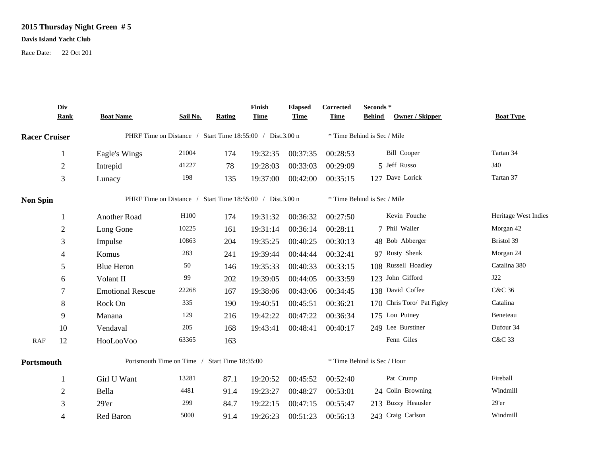## **2015 Thursday Night Green # 5**

## **Davis Island Yacht Club**

Race Date: 22 Oct 201

|                      | Div<br><b>Rank</b> | <b>Boat Name</b>                                          | Sail No.         | <b>Rating</b> | Finish<br><b>Time</b> | <b>Elapsed</b><br><b>Time</b> | Corrected<br><b>Time</b>    | Seconds *<br>Owner / Skipper<br><b>Behind</b> | <b>Boat Type</b>     |  |
|----------------------|--------------------|-----------------------------------------------------------|------------------|---------------|-----------------------|-------------------------------|-----------------------------|-----------------------------------------------|----------------------|--|
| <b>Racer Cruiser</b> |                    | PHRF Time on Distance / Start Time 18:55:00 / Dist.3.00 n |                  |               |                       |                               | * Time Behind is Sec / Mile |                                               |                      |  |
|                      | 1                  | Eagle's Wings                                             | 21004            | 174           | 19:32:35              | 00:37:35                      | 00:28:53                    | <b>Bill Cooper</b>                            | Tartan 34            |  |
|                      | $\mathbf{2}$       | Intrepid                                                  | 41227            | 78            | 19:28:03              | 00:33:03                      | 00:29:09                    | 5 Jeff Russo                                  | J40                  |  |
|                      | 3                  | Lunacy                                                    | 198              | 135           | 19:37:00              | 00:42:00                      | 00:35:15                    | 127 Dave Lorick                               | Tartan 37            |  |
| <b>Non Spin</b>      |                    | PHRF Time on Distance / Start Time 18:55:00 / Dist.3.00 n |                  |               |                       |                               | * Time Behind is Sec / Mile |                                               |                      |  |
|                      |                    | Another Road                                              | H <sub>100</sub> | 174           | 19:31:32              | 00:36:32                      | 00:27:50                    | Kevin Fouche                                  | Heritage West Indies |  |
|                      | $\overline{2}$     | Long Gone                                                 | 10225            | 161           | 19:31:14              | 00:36:14                      | 00:28:11                    | 7 Phil Waller                                 | Morgan 42            |  |
|                      | 3                  | Impulse                                                   | 10863            | 204           | 19:35:25              | 00:40:25                      | 00:30:13                    | 48 Bob Abberger                               | Bristol 39           |  |
|                      | 4                  | Komus                                                     | 283              | 241           | 19:39:44              | 00:44:44                      | 00:32:41                    | 97 Rusty Shenk                                | Morgan 24            |  |
|                      | 5                  | <b>Blue Heron</b>                                         | 50               | 146           | 19:35:33              | 00:40:33                      | 00:33:15                    | 108 Russell Hoadley                           | Catalina 380         |  |
|                      | 6                  | Volant II                                                 | 99               | 202           | 19:39:05              | 00:44:05                      | 00:33:59                    | 123 John Gifford                              | J22                  |  |
|                      | 7                  | <b>Emotional Rescue</b>                                   | 22268            | 167           | 19:38:06              | 00:43:06                      | 00:34:45                    | 138 David Coffee                              | C&C 36               |  |
|                      | 8                  | Rock On                                                   | 335              | 190           | 19:40:51              | 00:45:51                      | 00:36:21                    | 170 Chris Toro/ Pat Figley                    | Catalina             |  |
|                      | 9                  | Manana                                                    | 129              | 216           | 19:42:22              | 00:47:22                      | 00:36:34                    | 175 Lou Putney                                | Beneteau             |  |
|                      | 10                 | Vendaval                                                  | 205              | 168           | 19:43:41              | 00:48:41                      | 00:40:17                    | 249 Lee Burstiner                             | Dufour 34            |  |
| <b>RAF</b>           | 12                 | HooLooVoo                                                 | 63365            | 163           |                       |                               |                             | Fenn Giles                                    | C&C 33               |  |
| Portsmouth           |                    | Portsmouth Time on Time / Start Time 18:35:00             |                  |               |                       |                               |                             | * Time Behind is Sec / Hour                   |                      |  |
|                      |                    | Girl U Want                                               | 13281            | 87.1          | 19:20:52              | 00:45:52                      | 00:52:40                    | Pat Crump                                     | Fireball             |  |
|                      | 2                  | Bella                                                     | 4481             | 91.4          | 19:23:27              | 00:48:27                      | 00:53:01                    | 24 Colin Browning                             | Windmill             |  |
|                      | 3                  | 29'er                                                     | 299              | 84.7          | 19:22:15              | 00:47:15                      | 00:55:47                    | 213 Buzzy Heausler                            | 29'er                |  |
|                      | 4                  | Red Baron                                                 | 5000             | 91.4          | 19:26:23              | 00:51:23                      | 00:56:13                    | 243 Craig Carlson                             | Windmill             |  |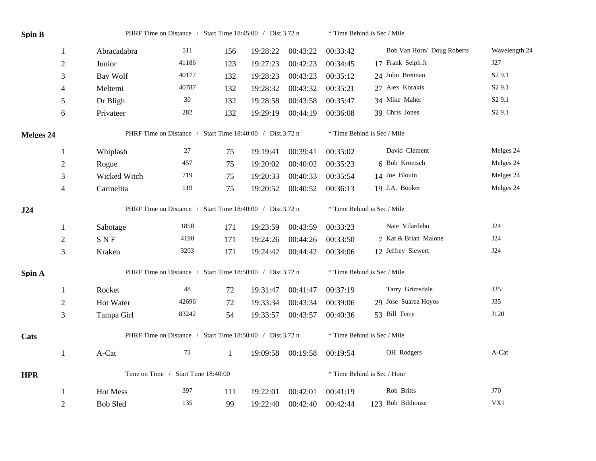| <b>Spin B</b>    |                                                           | PHRF Time on Distance / Start Time 18:45:00 / Dist.3.72 n |       |              |          | * Time Behind is Sec / Mile |                             |                             |                    |  |
|------------------|-----------------------------------------------------------|-----------------------------------------------------------|-------|--------------|----------|-----------------------------|-----------------------------|-----------------------------|--------------------|--|
|                  | $\mathbf{1}$                                              | Abracadabra                                               | 511   | 156          | 19:28:22 | 00:43:22                    | 00:33:42                    | Bob Van Horn/ Doug Roberts  | Wavelength 24      |  |
|                  | $\mathfrak{2}$                                            | Junior                                                    | 41186 | 123          | 19:27:23 | 00:42:23                    | 00:34:45                    | 17 Frank Selph Jr           | J27                |  |
|                  | 3                                                         | Bay Wolf                                                  | 40177 | 132          | 19:28:23 | 00:43:23                    | 00:35:12                    | 24 John Brennan             | S <sub>2</sub> 9.1 |  |
|                  | 4                                                         | Meltemi                                                   | 40787 | 132          | 19:28:32 | 00:43:32                    | 00:35:21                    | 27 Alex Korakis             | S <sub>2</sub> 9.1 |  |
|                  | 5                                                         | Dr Bligh                                                  | 30    | 132          | 19:28:58 | 00:43:58                    | 00:35:47                    | 34 Mike Maher               | S <sub>2</sub> 9.1 |  |
|                  | 6                                                         | Privateer                                                 | 282   | 132          | 19:29:19 | 00:44:19                    | 00:36:08                    | 39 Chris Jones              | S <sub>2</sub> 9.1 |  |
| <b>Melges 24</b> |                                                           | PHRF Time on Distance / Start Time 18:40:00 / Dist.3.72 n |       |              |          |                             | * Time Behind is Sec / Mile |                             |                    |  |
|                  | 1                                                         | Whiplash                                                  | 27    | 75           | 19:19:41 | 00:39:41                    | 00:35:02                    | David Clement               | Melges 24          |  |
|                  | $\mathfrak{2}$                                            | Rogue                                                     | 457   | 75           | 19:20:02 | 00:40:02                    | 00:35:23                    | 6 Bob Kroetsch              | Melges 24          |  |
|                  | 3                                                         | Wicked Witch                                              | 719   | 75           | 19:20:33 | 00:40:33                    | 00:35:54                    | 14 Joe Blouin               | Melges 24          |  |
|                  | $\overline{\mathcal{A}}$                                  | Carmelita                                                 | 119   | 75           | 19:20:52 | 00:40:52                    | 00:36:13                    | 19 J.A. Booker              | Melges 24          |  |
| J24              |                                                           | PHRF Time on Distance / Start Time 18:40:00 / Dist.3.72 n |       |              |          |                             | * Time Behind is Sec / Mile |                             |                    |  |
|                  | 1                                                         | Sabotage                                                  | 1858  | 171          | 19:23:59 | 00:43:59                    | 00:33:23                    | Nate Vilardebo              | J24                |  |
|                  | $\sqrt{2}$                                                | $\mathbf S$ N $\mathbf F$                                 | 4190  | 171          | 19:24:26 | 00:44:26                    | 00:33:50                    | 7 Kat & Brian Malone        | J24                |  |
|                  | 3                                                         | Kraken                                                    | 3203  | 171          | 19:24:42 | 00:44:42                    | 00:34:06                    | 12 Jeffrey Siewert          | J24                |  |
| Spin A           | PHRF Time on Distance / Start Time 18:50:00 / Dist.3.72 n |                                                           |       |              |          | * Time Behind is Sec / Mile |                             |                             |                    |  |
|                  | 1                                                         | Rocket                                                    | 48    | 72           | 19:31:47 | 00:41:47                    | 00:37:19                    | Tarry Grimsdale             | J35                |  |
|                  | $\mathfrak{2}$                                            | Hot Water                                                 | 42696 | 72           | 19:33:34 | 00:43:34                    | 00:39:06                    | 29 Jose Suarez Hoyos        | <b>J35</b>         |  |
|                  | 3                                                         | Tampa Girl                                                | 83242 | 54           | 19:33:57 | 00:43:57                    | 00:40:36                    | 53 Bill Terry               | J120               |  |
| Cats             |                                                           | PHRF Time on Distance / Start Time 18:50:00 / Dist.3.72 n |       |              |          |                             |                             | * Time Behind is Sec / Mile |                    |  |
|                  | $\mathbf{1}$                                              | A-Cat                                                     | 73    | $\mathbf{1}$ | 19:09:58 | 00:19:58                    | 00:19:54                    | OH Rodgers                  | A-Cat              |  |
| <b>HPR</b>       |                                                           | Time on Time / Start Time 18:40:00                        |       |              |          |                             | * Time Behind is Sec / Hour |                             |                    |  |
|                  | 1                                                         | <b>Hot Mess</b>                                           | 397   | 111          | 19:22:01 | 00:42:01                    | 00:41:19                    | Rob Britts                  | J70                |  |
|                  | $\overline{2}$                                            | <b>Bob Sled</b>                                           | 135   | 99           | 19:22:40 | 00:42:40                    | 00:42:44                    | 123 Bob Bilthouse           | VX1                |  |